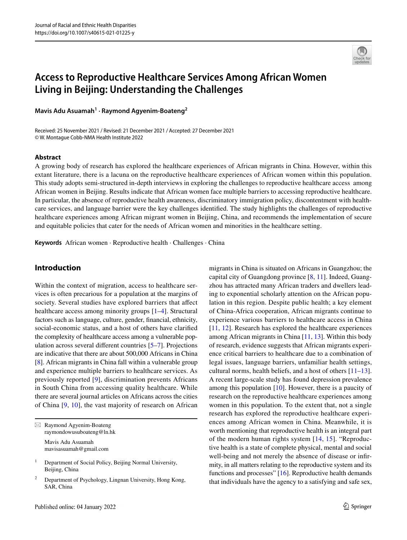

# **Access to Reproductive Healthcare Services Among African Women Living in Beijing: Understanding the Challenges**

**Mavis Adu Asuamah1 · Raymond Agyenim‑Boateng<sup>2</sup>**

Received: 25 November 2021 / Revised: 21 December 2021 / Accepted: 27 December 2021 © W. Montague Cobb-NMA Health Institute 2022

#### **Abstract**

A growing body of research has explored the healthcare experiences of African migrants in China. However, within this extant literature, there is a lacuna on the reproductive healthcare experiences of African women within this population. This study adopts semi-structured in-depth interviews in exploring the challenges to reproductive healthcare access among African women in Beijing. Results indicate that African women face multiple barriers to accessing reproductive healthcare. In particular, the absence of reproductive health awareness, discriminatory immigration policy, discontentment with healthcare services, and language barrier were the key challenges identifed. The study highlights the challenges of reproductive healthcare experiences among African migrant women in Beijing, China, and recommends the implementation of secure and equitable policies that cater for the needs of African women and minorities in the healthcare setting.

**Keywords** African women · Reproductive health · Challenges · China

# **Introduction**

Within the context of migration, access to healthcare services is often precarious for a population at the margins of society. Several studies have explored barriers that affect healthcare access among minority groups [\[1](#page-6-0)[–4\]](#page-6-1). Structural factors such as language, culture, gender, fnancial, ethnicity, social-economic status, and a host of others have clarifed the complexity of healthcare access among a vulnerable population across several diferent countries [\[5](#page-6-2)[–7](#page-6-3)]. Projections are indicative that there are about 500,000 Africans in China [\[8](#page-6-4)]. African migrants in China fall within a vulnerable group and experience multiple barriers to healthcare services. As previously reported [[9\]](#page-6-5), discrimination prevents Africans in South China from accessing quality healthcare. While there are several journal articles on Africans across the cities of China [\[9,](#page-6-5) [10](#page-6-6)], the vast majority of research on African

 $\boxtimes$  Raymond Agyenim-Boateng raymondowusuboateng@ln.hk Mavis Adu Asuamah

mavisasuamah@gmail.com

migrants in China is situated on Africans in Guangzhou; the capital city of Guangdong province [[8,](#page-6-4) [11\]](#page-6-7). Indeed, Guangzhou has attracted many African traders and dwellers leading to exponential scholarly attention on the African population in this region. Despite public health; a key element of China-Africa cooperation, African migrants continue to experience various barriers to healthcare access in China [[11,](#page-6-7) [12\]](#page-6-8). Research has explored the healthcare experiences among African migrants in China [\[11](#page-6-7), [13\]](#page-6-9). Within this body of research, evidence suggests that African migrants experience critical barriers to healthcare due to a combination of legal issues, language barriers, unfamiliar health settings, cultural norms, health beliefs, and a host of others [\[11](#page-6-7)[–13](#page-6-9)]. A recent large-scale study has found depression prevalence among this population [\[10](#page-6-6)]. However, there is a paucity of research on the reproductive healthcare experiences among women in this population. To the extent that, not a single research has explored the reproductive healthcare experiences among African women in China. Meanwhile, it is worth mentioning that reproductive health is an integral part of the modern human rights system [[14](#page-6-10), [15](#page-6-11)]. "Reproductive health is a state of complete physical, mental and social well-being and not merely the absence of disease or infrmity, in all matters relating to the reproductive system and its functions and processes" [\[16](#page-6-12)]. Reproductive health demands that individuals have the agency to a satisfying and safe sex,

<sup>&</sup>lt;sup>1</sup> Department of Social Policy, Beijing Normal University, Beijing, China

<sup>2</sup> Department of Psychology, Lingnan University, Hong Kong, SAR, China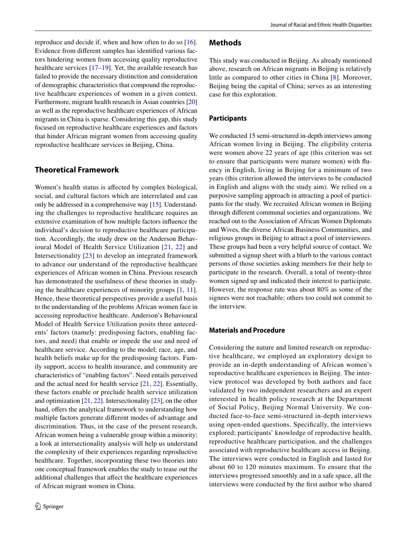reproduce and decide if, when and how often to do so [\[16](#page-6-12)]. Evidence from diferent samples has identifed various factors hindering women from accessing quality reproductive healthcare services [[17–](#page-6-13)[19](#page-6-14)]. Yet, the available research has failed to provide the necessary distinction and consideration of demographic characteristics that compound the reproductive healthcare experiences of women in a given context. Furthermore, migrant health research in Asian countries [[20\]](#page-6-15) as well as the reproductive healthcare experiences of African migrants in China is sparse. Considering this gap, this study focused on reproductive healthcare experiences and factors that hinder African migrant women from accessing quality reproductive healthcare services in Beijing, China.

# **Theoretical Framework**

Women's health status is afected by complex biological, social, and cultural factors which are interrelated and can only be addressed in a comprehensive way [[15\]](#page-6-11). Understanding the challenges to reproductive healthcare requires an extensive examination of how multiple factors infuence the individual's decision to reproductive healthcare participation. Accordingly, the study drew on the Anderson Behavioural Model of Health Service Utilization [\[21,](#page-6-16) [22](#page-6-17)] and Intersectionality [[23](#page-6-18)] to develop an integrated framework to advance our understand of the reproductive healthcare experiences of African women in China. Previous research has demonstrated the usefulness of these theories in studying the healthcare experiences of minority groups [\[1,](#page-6-0) [11](#page-6-7)]. Hence, these theoretical perspectives provide a useful basis to the understanding of the problems African women face in accessing reproductive healthcare. Anderson's Behavioural Model of Health Service Utilization posits three antecedents' factors (namely: predisposing factors, enabling factors, and need) that enable or impede the use and need of healthcare service. According to the model; race, age, and health beliefs make up for the predisposing factors. Family support, access to health insurance, and community are characteristics of "enabling factors". Need entails perceived and the actual need for health service [[21,](#page-6-16) [22](#page-6-17)]. Essentially, these factors enable or preclude health service utilization and optimization [[21,](#page-6-16) [22](#page-6-17)]. Intersectionality [[23\]](#page-6-18), on the other hand, offers the analytical framework to understanding how multiple factors generate diferent modes of advantage and discrimination. Thus, in the case of the present research, African women being a vulnerable group within a minority; a look at intersectionality analysis will help us understand the complexity of their experiences regarding reproductive healthcare. Together, incorporating these two theories into one conceptual framework enables the study to tease out the additional challenges that afect the healthcare experiences of African migrant women in China.

#### **Methods**

This study was conducted in Beijing. As already mentioned above, research on African migrants in Beijing is relatively little as compared to other cities in China [\[8\]](#page-6-4). Moreover, Beijing being the capital of China; serves as an interesting case for this exploration.

#### **Participants**

We conducted 15 semi-structured in-depth interviews among African women living in Beijing. The eligibility criteria were women above 22 years of age (this criterion was set to ensure that participants were mature women) with fuency in English, living in Beijing for a minimum of two years (this criterion allowed the interviews to be conducted in English and aligns with the study aim). We relied on a purposive sampling approach in attracting a pool of participants for the study. We recruited African women in Beijing through diferent communal societies and organizations. We reached out to the Association of African Women Diplomats and Wives, the diverse African Business Communities, and religious groups in Beijing to attract a pool of interviewees. These groups had been a very helpful source of contact. We submitted a signup sheet with a blurb to the various contact persons of those societies asking members for their help to participate in the research. Overall, a total of twenty-three women signed up and indicated their interest to participate. However, the response rate was about 80% as some of the signees were not reachable; others too could not commit to the interview.

#### **Materials and Procedure**

Considering the nature and limited research on reproductive healthcare, we employed an exploratory design to provide an in-depth understanding of African women's reproductive healthcare experiences in Beijing. The interview protocol was developed by both authors and face validated by two independent researchers and an expert interested in health policy research at the Department of Social Policy, Beijing Normal University. We conducted face-to-face semi-structured in-depth interviews using open-ended questions. Specifcally, the interviews explored; participants' knowledge of reproductive health, reproductive healthcare participation, and the challenges associated with reproductive healthcare access in Beijing. The interviews were conducted in English and lasted for about 60 to 120 minutes maximum. To ensure that the interviews progressed smoothly and in a safe space, all the interviews were conducted by the frst author who shared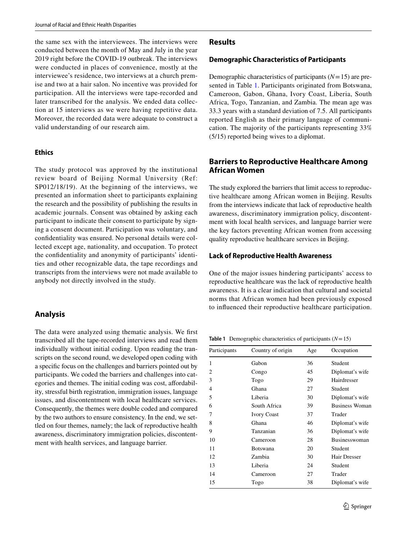the same sex with the interviewees. The interviews were conducted between the month of May and July in the year 2019 right before the COVID-19 outbreak. The interviews were conducted in places of convenience, mostly at the interviewee's residence, two interviews at a church premise and two at a hair salon. No incentive was provided for participation. All the interviews were tape-recorded and later transcribed for the analysis. We ended data collection at 15 interviews as we were having repetitive data. Moreover, the recorded data were adequate to construct a valid understanding of our research aim.

#### **Ethics**

The study protocol was approved by the institutional review board of Beijing Normal University (Ref: SP012/18/19). At the beginning of the interviews, we presented an information sheet to participants explaining the research and the possibility of publishing the results in academic journals. Consent was obtained by asking each participant to indicate their consent to participate by signing a consent document. Participation was voluntary, and confdentiality was ensured. No personal details were collected except age, nationality, and occupation. To protect the confdentiality and anonymity of participants' identities and other recognizable data, the tape recordings and transcripts from the interviews were not made available to anybody not directly involved in the study.

### **Analysis**

The data were analyzed using thematic analysis. We frst transcribed all the tape-recorded interviews and read them individually without initial coding. Upon reading the transcripts on the second round, we developed open coding with a specifc focus on the challenges and barriers pointed out by participants. We coded the barriers and challenges into categories and themes. The initial coding was cost, affordability, stressful birth registration, immigration issues, language issues, and discontentment with local healthcare services. Consequently, the themes were double coded and compared by the two authors to ensure consistency. In the end, we settled on four themes, namely; the lack of reproductive health awareness, discriminatory immigration policies, discontentment with health services, and language barrier.

#### **Results**

#### **Demographic Characteristics of Participants**

Demographic characteristics of participants (*N*=15) are presented in Table [1](#page-2-0). Participants originated from Botswana, Cameroon, Gabon, Ghana, Ivory Coast, Liberia, South Africa, Togo, Tanzanian, and Zambia. The mean age was 33.3 years with a standard deviation of 7.5. All participants reported English as their primary language of communication. The majority of the participants representing 33% (5/15) reported being wives to a diplomat.

# **Barriers to Reproductive Healthcare Among African Women**

The study explored the barriers that limit access to reproductive healthcare among African women in Beijing. Results from the interviews indicate that lack of reproductive health awareness, discriminatory immigration policy, discontentment with local health services, and language barrier were the key factors preventing African women from accessing quality reproductive healthcare services in Beijing.

#### **Lack of Reproductive Health Awareness**

One of the major issues hindering participants' access to reproductive healthcare was the lack of reproductive health awareness. It is a clear indication that cultural and societal norms that African women had been previously exposed to infuenced their reproductive healthcare participation.

<span id="page-2-0"></span>**Table 1** Demographic characteristics of participants (*N*=15)

| Participants   | Country of origin  | Age | Occupation            |
|----------------|--------------------|-----|-----------------------|
| 1              | Gabon              | 36  | Student               |
| $\overline{c}$ | Congo              | 45  | Diplomat's wife       |
| 3              | Togo               | 29  | Hairdresser           |
| 4              | Ghana              | 27  | Student               |
| 5              | Liberia            | 30  | Diplomat's wife       |
| 6              | South Africa       | 39  | <b>Business Woman</b> |
| 7              | <b>Ivory Coast</b> | 37  | Trader                |
| 8              | Ghana              | 46  | Diplomat's wife       |
| 9              | Tanzanian          | 36  | Diplomat's wife       |
| 10             | Cameroon           | 28  | <b>Businesswoman</b>  |
| 11             | Botswana           | 20  | Student               |
| 12             | Zambia             | 30  | Hair Dresser          |
| 13             | Liberia            | 24  | Student               |
| 14             | Cameroon           | 27  | Trader                |
| 15             | Togo               | 38  | Diplomat's wife       |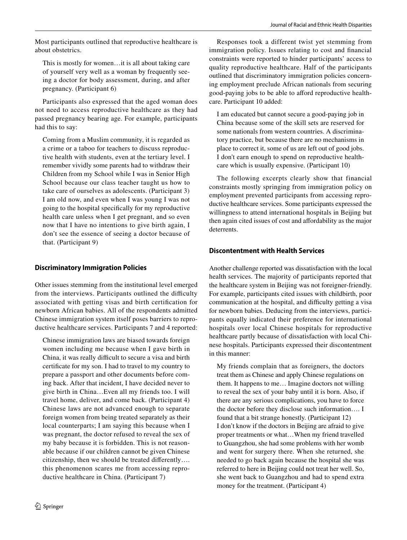Most participants outlined that reproductive healthcare is about obstetrics.

This is mostly for women…it is all about taking care of yourself very well as a woman by frequently seeing a doctor for body assessment, during, and after pregnancy. (Participant 6)

Participants also expressed that the aged woman does not need to access reproductive healthcare as they had passed pregnancy bearing age. For example, participants had this to say:

Coming from a Muslim community, it is regarded as a crime or a taboo for teachers to discuss reproductive health with students, even at the tertiary level. I remember vividly some parents had to withdraw their Children from my School while I was in Senior High School because our class teacher taught us how to take care of ourselves as adolescents. (Participant 3) I am old now, and even when I was young I was not going to the hospital specifcally for my reproductive health care unless when I get pregnant, and so even now that I have no intentions to give birth again, I don't see the essence of seeing a doctor because of that. (Participant 9)

# **Discriminatory Immigration Policies**

Other issues stemming from the institutional level emerged from the interviews. Participants outlined the difficulty associated with getting visas and birth certifcation for newborn African babies. All of the respondents admitted Chinese immigration system itself poses barriers to reproductive healthcare services. Participants 7 and 4 reported:

Chinese immigration laws are biased towards foreign women including me because when I gave birth in China, it was really difficult to secure a visa and birth certifcate for my son. I had to travel to my country to prepare a passport and other documents before coming back. After that incident, I have decided never to give birth in China…Even all my friends too. I will travel home, deliver, and come back. (Participant 4) Chinese laws are not advanced enough to separate foreign women from being treated separately as their local counterparts; I am saying this because when I was pregnant, the doctor refused to reveal the sex of my baby because it is forbidden. This is not reasonable because if our children cannot be given Chinese citizenship, then we should be treated diferently…. this phenomenon scares me from accessing reproductive healthcare in China. (Participant 7)

Responses took a different twist yet stemming from immigration policy. Issues relating to cost and fnancial constraints were reported to hinder participants' access to quality reproductive healthcare. Half of the participants outlined that discriminatory immigration policies concerning employment preclude African nationals from securing good-paying jobs to be able to afford reproductive healthcare. Participant 10 added:

I am educated but cannot secure a good-paying job in China because some of the skill sets are reserved for some nationals from western countries. A discriminatory practice, but because there are no mechanisms in place to correct it, some of us are left out of good jobs. I don't earn enough to spend on reproductive healthcare which is usually expensive. (Participant 10)

The following excerpts clearly show that financial constraints mostly springing from immigration policy on employment prevented participants from accessing reproductive healthcare services. Some participants expressed the willingness to attend international hospitals in Beijing but then again cited issues of cost and afordability as the major deterrents.

# **Discontentment with Health Services**

Another challenge reported was dissatisfaction with the local health services. The majority of participants reported that the healthcare system in Beijing was not foreigner-friendly. For example, participants cited issues with childbirth, poor communication at the hospital, and difficulty getting a visa for newborn babies. Deducing from the interviews, participants equally indicated their preference for international hospitals over local Chinese hospitals for reproductive healthcare partly because of dissatisfaction with local Chinese hospitals. Participants expressed their discontentment in this manner:

My friends complain that as foreigners, the doctors treat them as Chinese and apply Chinese regulations on them. It happens to me… Imagine doctors not willing to reveal the sex of your baby until it is born. Also, if there are any serious complications, you have to force the doctor before they disclose such information…. I found that a bit strange honestly. (Participant 12) I don't know if the doctors in Beijing are afraid to give proper treatments or what…When my friend travelled to Guangzhou, she had some problems with her womb and went for surgery there. When she returned, she needed to go back again because the hospital she was referred to here in Beijing could not treat her well. So, she went back to Guangzhou and had to spend extra money for the treatment. (Participant 4)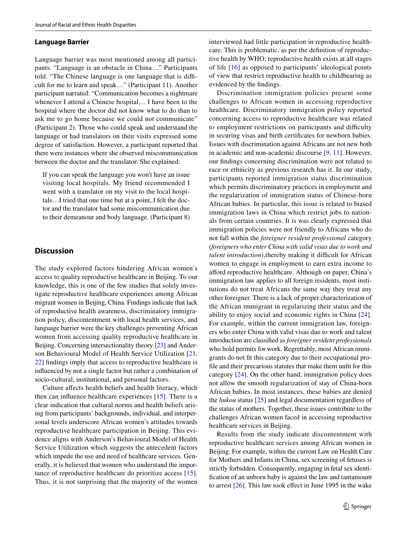#### **Language Barrier**

Language barrier was most mentioned among all participants. "Language is an obstacle in China…" Participants told. "The Chinese language is one language that is difficult for me to learn and speak…" (Participant 11). Another participant narrated: "Communication becomes a nightmare whenever I attend a Chinese hospital… I have been to the hospital where the doctor did not know what to do than to ask me to go home because we could not communicate" (Participant 2). Those who could speak and understand the language or had translators on their visits expressed some degree of satisfaction. However, a participant reported that there were instances where she observed miscommunication between the doctor and the translator. She explained:

If you can speak the language you won't have an issue visiting local hospitals. My friend recommended I went with a translator on my visit to the local hospitals…I tried that one time but at a point, I felt the doctor and the translator had some miscommunication due to their demeanour and body language. (Participant 8)

### **Discussion**

The study explored factors hindering African women's access to quality reproductive healthcare in Beijing. To our knowledge, this is one of the few studies that solely investigate reproductive healthcare experiences among African migrant women in Beijing, China. Findings indicate that lack of reproductive health awareness, discriminatory immigration policy, discontentment with local health services, and language barrier were the key challenges preventing African women from accessing quality reproductive healthcare in Beijing. Concerning intersectionality theory [[23](#page-6-18)] and Anderson Behavioural Model of Health Service Utilization [\[21,](#page-6-16) [22](#page-6-17)] fndings imply that access to reproductive healthcare is infuenced by not a single factor but rather a combination of socio-cultural, institutional, and personal factors.

Culture afects health beliefs and health literacy, which then can infuence healthcare experiences [[15](#page-6-11)]. There is a clear indication that cultural norms and health beliefs arising from participants' backgrounds, individual, and interpersonal levels underscore African women's attitudes towards reproductive healthcare participation in Beijing. This evidence aligns with Anderson's Behavioural Model of Health Service Utilization which suggests the antecedent factors which impede the use and need of healthcare services. Generally, it is believed that women who understand the importance of reproductive healthcare do prioritize access [\[15](#page-6-11)]. Thus, it is not surprising that the majority of the women interviewed had little participation in reproductive healthcare. This is problematic, as per the defnition of reproductive health by WHO; reproductive health exists at all stages of life [[16](#page-6-12)] as opposed to participants' ideological points of view that restrict reproductive health to childbearing as evidenced by the fndings.

Discrimination immigration policies present some challenges to African women in accessing reproductive healthcare. Discriminatory immigration policy reported concerning access to reproductive healthcare was related to employment restrictions on participants and difficulty in securing visas and birth certifcates for newborn babies. Issues with discrimination against Africans are not new both in academic and non-academic discourse [\[9](#page-6-5), [11](#page-6-7)]. However, our fndings concerning discrimination were not related to race or ethnicity as previous research has it. In our study, participants reported immigration status discrimination which permits discriminatory practices in employment and the regularization of immigration status of Chinese-born African babies. In particular, this issue is related to biased immigration laws in China which restrict jobs to nationals from certain countries. It is was clearly expressed that immigration policies were not friendly to Africans who do not fall within the *foreigner resident professional* category (*foreigners who enter China with valid visas due to work and talent introduction*), thereby making it difficult for African women to engage in employment to earn extra income to aford reproductive healthcare. Although on paper, China's immigration law applies to all foreign residents, most institutions do not treat Africans the same way they treat any other foreigner. There is a lack of proper characterization of the African immigrant in regularizing their status and the ability to enjoy social and economic rights in China [[24](#page-6-19)]. For example, within the current immigration law, foreigners who enter China with valid visas due to work and talent introduction are classifed as *foreigner resident professionals* who hold permits for work. Regrettably, most African immigrants do not ft this category due to their occupational profle and their precarious statutes that make them unft for this category [\[24](#page-6-19)]. On the other hand, immigration policy does not allow the smooth regularization of stay of China-born African babies. In most instances, these babies are denied the *hukou* status [\[25](#page-6-20)] and legal documentation regardless of the status of mothers. Together, these issues contribute to the challenges African women faced in accessing reproductive healthcare services in Beijing.

Results from the study indicate discontentment with reproductive healthcare services among African women in Beijing. For example, within the current Law on Health Care for Mothers and Infants in China, sex screening of fetuses is strictly forbidden. Consequently, engaging in fetal sex identifcation of an unborn baby is against the law and tantamount to arrest [[26\]](#page-6-21). This law took efect in June 1995 in the wake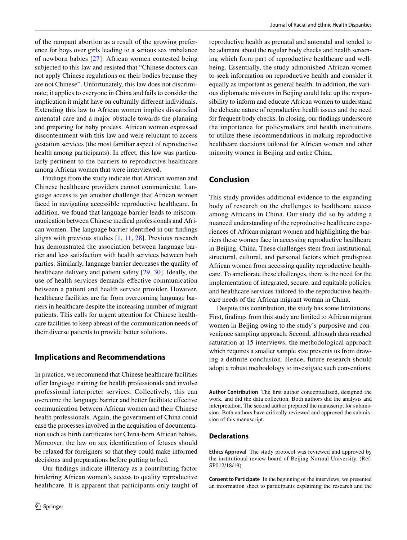of the rampant abortion as a result of the growing preference for boys over girls leading to a serious sex imbalance of newborn babies [[27](#page-6-22)]. African women contested being subjected to this law and resisted that "Chinese doctors can not apply Chinese regulations on their bodies because they are not Chinese". Unfortunately, this law does not discriminate; it applies to everyone in China and fails to consider the implication it might have on culturally diferent individuals. Extending this law to African women implies dissatisfed antenatal care and a major obstacle towards the planning and preparing for baby process. African women expressed discontentment with this law and were reluctant to access gestation services (the most familiar aspect of reproductive health among participants). In effect, this law was particularly pertinent to the barriers to reproductive healthcare among African women that were interviewed.

Findings from the study indicate that African women and Chinese healthcare providers cannot communicate. Language access is yet another challenge that African women faced in navigating accessible reproductive healthcare. In addition, we found that language barrier leads to miscommunication between Chinese medical professionals and African women. The language barrier identifed in our fndings aligns with previous studies [[1,](#page-6-0) [11,](#page-6-7) [28](#page-6-23)]. Previous research has demonstrated the association between language barrier and less satisfaction with health services between both parties. Similarly, language barrier decreases the quality of healthcare delivery and patient safety [[29,](#page-6-24) [30](#page-6-25)]. Ideally, the use of health services demands efective communication between a patient and health service provider. However, healthcare facilities are far from overcoming language barriers in healthcare despite the increasing number of migrant patients. This calls for urgent attention for Chinese healthcare facilities to keep abreast of the communication needs of their diverse patients to provide better solutions.

# **Implications and Recommendations**

In practice, we recommend that Chinese healthcare facilities offer language training for health professionals and involve professional interpreter services. Collectively, this can overcome the language barrier and better facilitate efective communication between African women and their Chinese health professionals. Again, the government of China could ease the processes involved in the acquisition of documentation such as birth certifcates for China-born African babies. Moreover, the law on sex identifcation of fetuses should be relaxed for foreigners so that they could make informed decisions and preparations before putting to bed.

Our fndings indicate illiteracy as a contributing factor hindering African women's access to quality reproductive healthcare. It is apparent that participants only taught of reproductive health as prenatal and antenatal and tended to be adamant about the regular body checks and health screening which form part of reproductive healthcare and wellbeing. Essentially, the study admonished African women to seek information on reproductive health and consider it equally as important as general health. In addition, the various diplomatic missions in Beijing could take up the responsibility to inform and educate African women to understand the delicate nature of reproductive health issues and the need for frequent body checks. In closing, our fndings underscore the importance for policymakers and health institutions to utilize these recommendations in making reproductive healthcare decisions tailored for African women and other minority women in Beijing and entire China.

# **Conclusion**

This study provides additional evidence to the expanding body of research on the challenges to healthcare access among Africans in China. Our study did so by adding a nuanced understanding of the reproductive healthcare experiences of African migrant women and highlighting the barriers these women face in accessing reproductive healthcare in Beijing, China. These challenges stem from institutional, structural, cultural, and personal factors which predispose African women from accessing quality reproductive healthcare. To ameliorate these challenges, there is the need for the implementation of integrated, secure, and equitable policies, and healthcare services tailored to the reproductive healthcare needs of the African migrant woman in China.

Despite this contribution, the study has some limitations. First, fndings from this study are limited to African migrant women in Beijing owing to the study's purposive and convenience sampling approach. Second, although data reached saturation at 15 interviews, the methodological approach which requires a smaller sample size prevents us from drawing a defnite conclusion. Hence, future research should adopt a robust methodology to investigate such conventions.

**Author Contribution** The frst author conceptualized, designed the work, and did the data collection. Both authors did the analysis and interpretation. The second author prepared the manuscript for submission. Both authors have critically reviewed and approved the submission of this manuscript.

#### **Declarations**

**Ethics Approval** The study protocol was reviewed and approved by the institutional review board of Beijing Normal University. (Ref: SP012/18/19).

**Consent to Participate** In the beginning of the interviews, we presented an information sheet to participants explaining the research and the